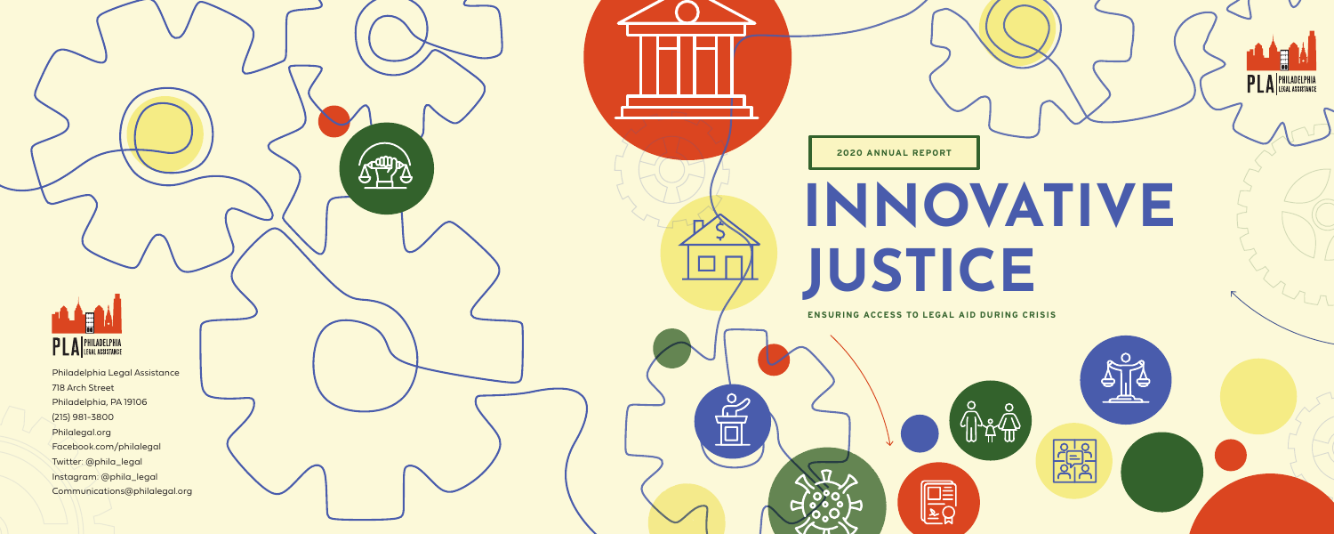## **INNOVATIVE JUSTICE**

ၟ<br>ျာန္ ျာ

**PHP**<br>PHP<br>PHP

 $\sqrt{ }$ 

H

**PLA** PHILADELPHIA

**ENSURING ACCESS TO LEGAL AID DURING CRISIS**

EQ



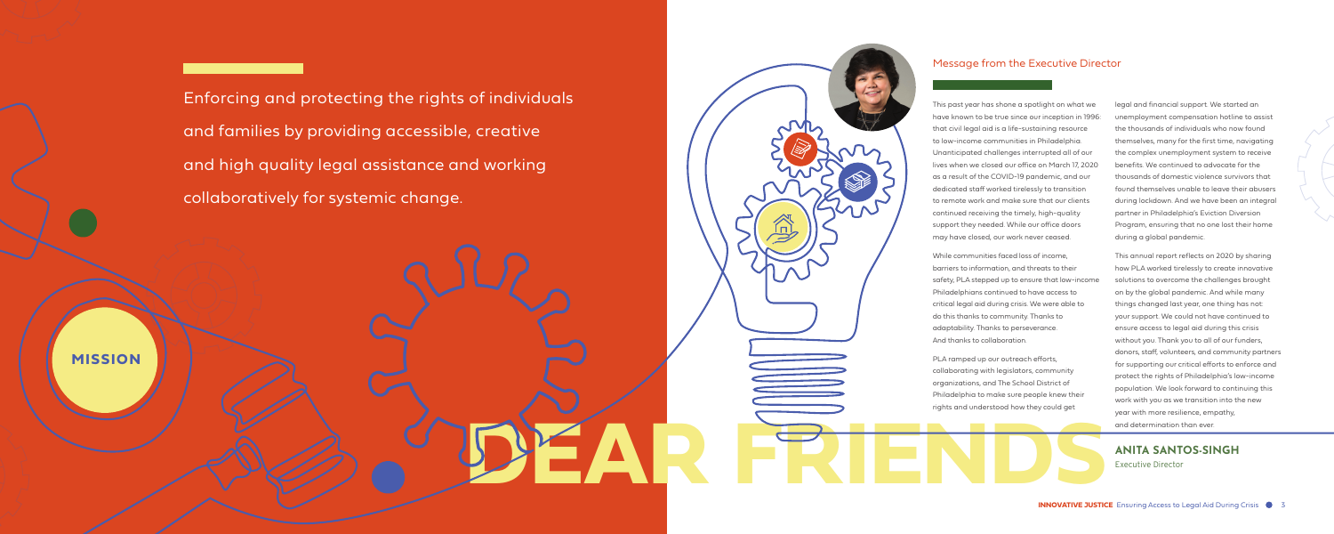Enforcing and protecting the rights of individuals and families by providing accessible, creative and high quality legal assistance and working collaboratively for systemic change.

**MISSION**



## Message from the Executive Director

**ANITA SANTOS-SINGH** Executive Director

This past year has shone a spotlight on what we have known to be true since our inception in 1996: that civil legal aid is a life-sustaining resource to low-income communities in Philadelphia. Unanticipated challenges interrupted all of our lives when we closed our office on March 17, 2020 as a result of the COVID-19 pandemic, and our dedicated staff worked tirelessly to transition to remote work and make sure that our clients continued receiving the timely, high-quality support they needed. While our office doors may have closed, our work never ceased.

While communities faced loss of income, barriers to information, and threats to their safety, PLA stepped up to ensure that low-income Philadelphians continued to have access to critical legal aid during crisis. We were able to do this thanks to community. Thanks to adaptability. Thanks to perseverance. And thanks to collaboration.

PLA ramped up our outreach efforts, collaborating with legislators, community organizations, and The School District of Philadelphia to make sure people knew their rights and understood how they could get

legal and financial support. We started an unemployment compensation hotline to assist the thousands of individuals who now found themselves, many for the first time, navigating the complex unemployment system to receive benefits. We continued to advocate for the thousands of domestic violence survivors that found themselves unable to leave their abusers during lockdown. And we have been an integral partner in Philadelphia's Eviction Diversion Program, ensuring that no one lost their home during a global pandemic.

This annual report reflects on 2020 by sharing how PLA worked tirelessly to create innovative solutions to overcome the challenges brought on by the global pandemic. And while many things changed last year, one thing has not: your support. We could not have continued to ensure access to legal aid during this crisis without you. Thank you to all of our funders, donors, staff, volunteers, and community partners for supporting our critical efforts to enforce and protect the rights of Philadelphia's low-income population. We look forward to continuing this work with you as we transition into the new year with more resilience, empathy, and determination than ever.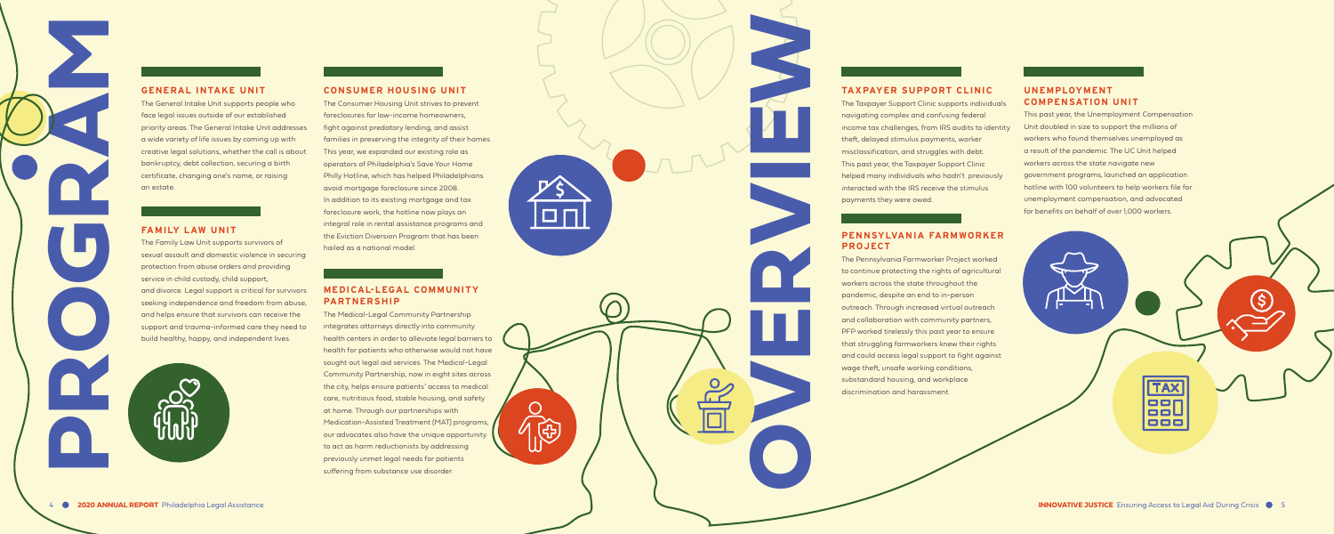# **PROGRAM**

## **GENERAL INTAKE UNIT**

The General Intake Unit supports people who face legal issues outside of our established priority areas. The General Intake Unit addresses a wide variety of life issues by coming up with creative legal solutions, whether the call is about bankruptcy, debt collection, securing a birth certificate, changing one's name, or raising an estate.

## **FAMILY LAW UNIT**

The Family Law Unit supports survivors of sexual assault and domestic violence in securing protection from abuse orders and providing service in child custody, child support, and divorce. Legal support is critical for survivors seeking independence and freedom from abuse, and helps ensure that survivors can receive the support and trauma-informed care they need to build healthy, happy, and independent lives.



**TAXPAYER SUPPORT CLINIC**<br>The Taxopayer Support Claim computer and contisting federal<br>income tox cholenges, from IRS ordits to identify the mission of the divisor supports, worker<br>missions discussification, and struggles w The Pennsylvania Farmworker Project worked to continue protecting the rights of agricultural workers across the state throughout the pandemic, despite an end to in-person outreach. Through increased virtual outreach and collaboration with community partners, PFP worked tirelessly this past year to ensure that struggling farmworkers knew their rights and could access legal support to fight against wage theft, unsafe working conditions, substandard housing, and workplace discrimination and harassment.

The Taxpayer Support Clinic supports individuals navigating complex and confusing federal income tax challenges, from IRS audits to identity theft, delayed stimulus payments, worker misclassification, and struggles with debt. This past year, the Taxpayer Support Clinic helped many individuals who hadn't previously interacted with the IRS receive the stimulus payments they were owed.

## **PENNSYLVANIA FARMWORKER PROJECT**

## **CONSUMER HOUSING UNIT**

The Consumer Housing Unit strives to prevent foreclosures for low-income homeowners, fight against predatory lending, and assist families in preserving the integrity of their homes. This year, we expanded our existing role as operators of Philadelphia's Save Your Home Philly Hotline, which has helped Philadelphians avoid mortgage foreclosure since 2008. In addition to its existing mortgage and tax foreclosure work, the hotline now plays an integral role in rental assistance programs and the Eviction Diversion Program that has been hailed as a national model.

 $\Box$ 

免

## **MEDICAL-LEGAL COMMUNITY PARTNERSHIP**

The Medical-Legal Community Partnership integrates attorneys directly into community health centers in order to alleviate legal barriers to health for patients who otherwise would not have sought out legal aid services. The Medical-Legal Community Partnership, now in eight sites across the city, helps ensure patients' access to medical care, nutritious food, stable housing, and safety at home. Through our partnerships with Medication-Assisted Treatment (MAT) programs, our advocates also have the unique opportunity to act as harm reductionists by addressing previously unmet legal needs for patients suffering from substance use disorder.

## **UNEMPLOYMENT COMPENSATION UNIT**

This past year, the Unemployment Compensation Unit doubled in size to support the millions of workers who found themselves unemployed as a result of the pandemic. The UC Unit helped workers across the state navigate new government programs, launched an application hotline with 100 volunteers to help workers file for unemployment compensation, and advocated for benefits on behalf of over 1,000 workers.

**TAX**  $\Box$ ooU  $\blacksquare$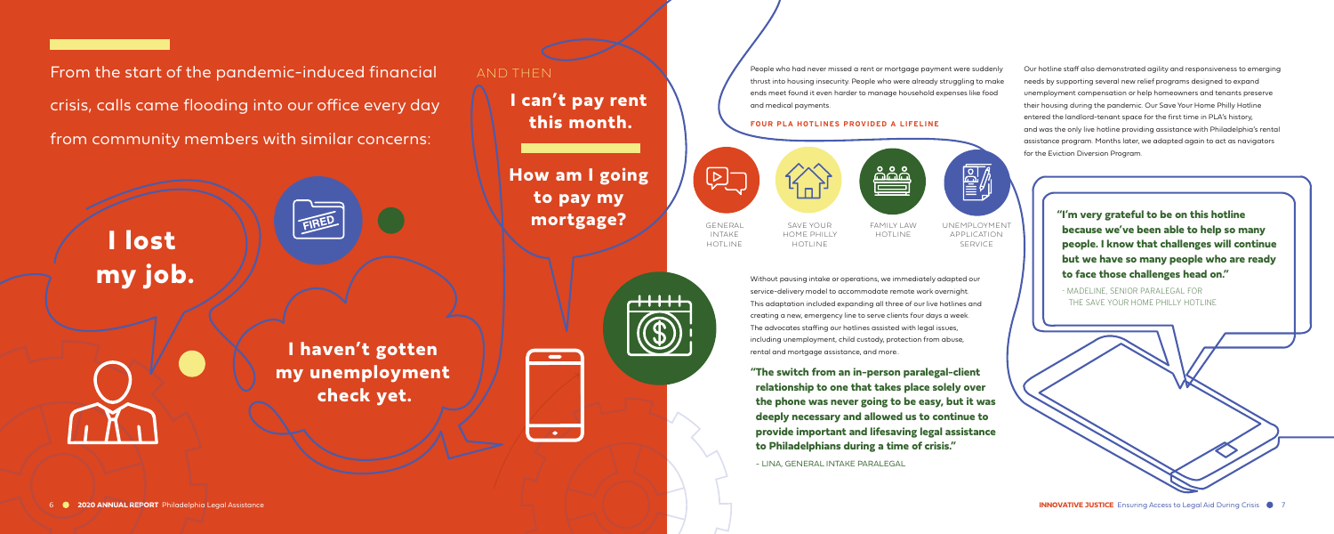From the start of the pandemic-induced financial crisis, calls came flooding into our office every day from community members with similar concerns:

> **I lost my job.**

> > **I haven't gotten my unemployment check yet.**



AND THEN

**I can't pay rent this month.**

**How am I going to pay my mortgage?**



People who had never missed a rent or mortgage payment were suddenly thrust into housing insecurity. People who were already struggling to make ends meet found it even harder to manage household expenses like food

and medical payments.

 $\left[\sum\right]$ 

## **FOUR PLA HOTLINES PROVIDED A LIFELINE**

Without pausing intake or operations, we immediately adapted our service-delivery model to accommodate remote work overnight. This adaptation included expanding all three of our live hotlines and creating a new, emergency line to serve clients four days a week. The advocates staffing our hotlines assisted with legal issues, including unemployment, child custody, protection from abuse, rental and mortgage assistance, and more..

**"The switch from an in-person paralegal-client relationship to one that takes place solely over the phone was never going to be easy, but it was deeply necessary and allowed us to continue to provide important and lifesaving legal assistance to Philadelphians during a time of crisis."** 

- LINA, GENERAL INTAKE PARALEGAL

Our hotline staff also demonstrated agility and responsiveness to emerging needs by supporting several new relief programs designed to expand unemployment compensation or help homeowners and tenants preserve their housing during the pandemic. Our Save Your Home Philly Hotline entered the landlord-tenant space for the first time in PLA's history, and was the only live hotline providing assistance with Philadelphia's rental assistance program. Months later, we adapted again to act as navigators for the Eviction Diversion Program.

GENERAL INTAKE HOTLINE

SAVE YOUR HOME PHILLY HOTLINE



**"I'm very grateful to be on this hotline because we've been able to help so many people. I know that challenges will continue but we have so many people who are ready to face those challenges head on."** 

- MADELINE, SENIOR PARALEGAL FOR THE SAVE YOUR HOME PHILLY HOTLINE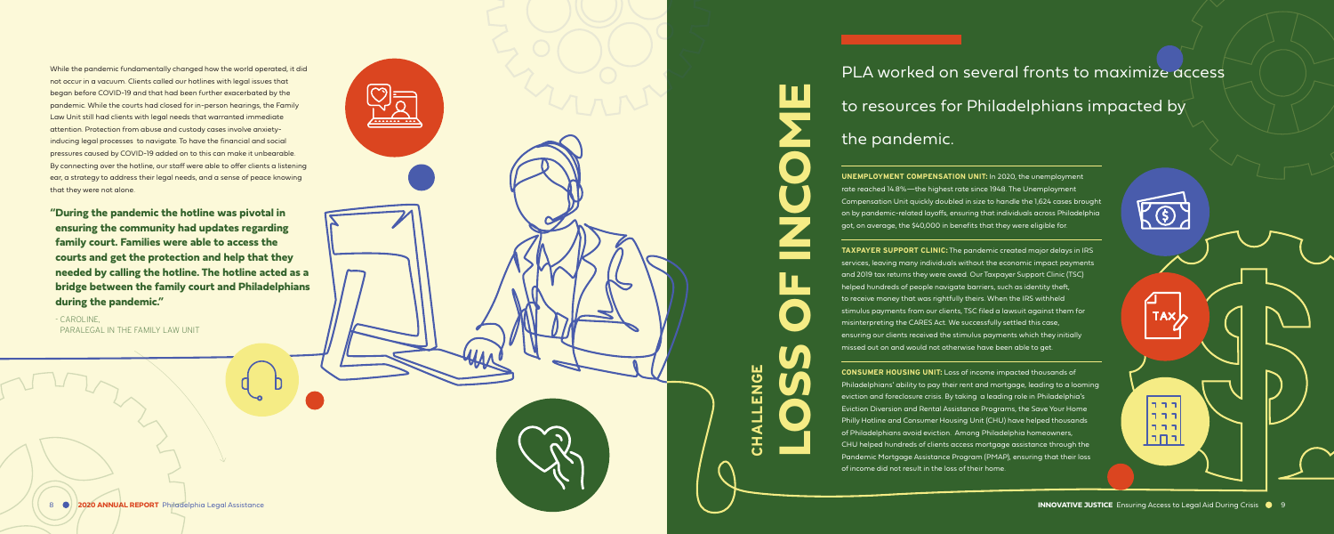**ensuring the community had updates regarding family court. Families were able to access the courts and get the protection and help that they needed by calling the hotline. The hotline acted as a bridge between the family court and Philadelphians during the pandemic."** 

- CAROLINE, PARALEGAL IN THE FAMILY LAW UNIT

## PLA worked on several fronts to maximize access to resources for Philadelphians impacted by the pandemic.

While the pandemic fundamentally changed how the world operated, it did not occur in a vacuum. Clients called our hotlines with legal issues that began before COVID-19 and that had been further exacerbated by the pandemic. While the courts had closed for in-person hearings, the Family Law Unit still had clients with legal needs that warranted immediate attention. Protection from abuse and custody cases involve anxietyinducing legal processes to navigate. To have the financial and social pressures caused by COVID-19 added on to this can make it unbearable. By connecting over the hotline, our staff were able to offer clients a listening ear, a strategy to address their legal needs, and a sense of peace knowing that they were not alone.

**2020 ANNUAL REPORT OF ACCESS TO LEGAL AND ACCESS TO LEGAL AND REPORT OF ALSO AND REPORT OF ALSO AND REPORT OF A CONSUMER HOUSING UNIT:** Loss of income impacted thousands of Philadelphians' ability to pay their rent and mortgage, leading to a looming eviction and foreclosure crisis. By taking a leading role in Philadelphia's Eviction Diversion and Rental Assistance Programs, the Save Your Home Philly Hotline and Consumer Housing Unit (CHU) have helped thousands of Philadelphians avoid eviction. Among Philadelphia homeowners, CHU helped hundreds of clients access mortgage assistance through the Pandemic Mortgage Assistance Program (PMAP), ensuring that their loss of income did not result in the loss of their home.

**UNEMPLOYMENT COMPENSATION UNIT:** In 2020, the unemployment rate reached 14.8%—the highest rate since 1948. The Unemployment Compensation Unit quickly doubled in size to handle the 1,624 cases brought on by pandemic-related layoffs, ensuring that individuals across Philadelphia got, on average, the \$40,000 in benefits that they were eligible for.

**TAXPAYER SUPPORT CLINIC:** The pandemic created major delays in IRS services, leaving many individuals without the economic impact payments and 2019 tax returns they were owed. Our Taxpayer Support Clinic (TSC) helped hundreds of people navigate barriers, such as identity theft, to receive money that was rightfully theirs. When the IRS withheld stimulus payments from our clients, TSC filed a lawsuit against them for misinterpreting the CARES Act. We successfully settled this case, ensuring our clients received the stimulus payments which they initially missed out on and would not otherwise have been able to get.

**CHALLENGE** 

**LOSS OF INCOME**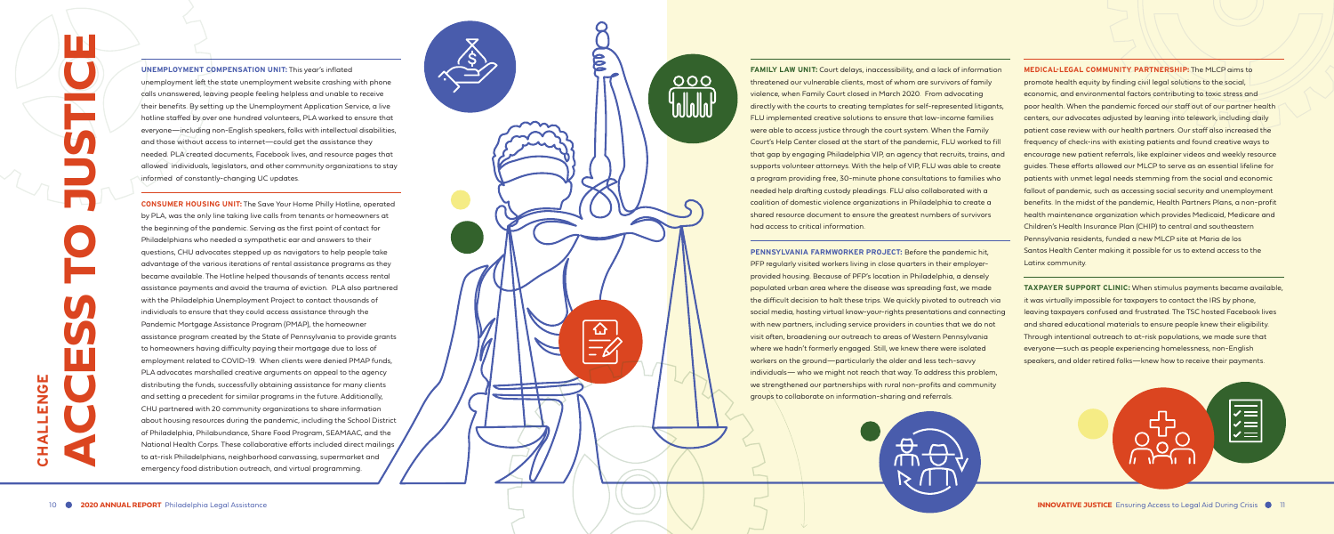**UNEMPLOYMENT COMPENSATION UNIT:** This year's inflated unemployment left the state unemployment website crashing with phone calls unanswered, leaving people feeling helpless and unable to receive their benefits. By setting up the Unemployment Application Service, a live hotline staffed by over one hundred volunteers, PLA worked to ensure that everyone—including non-English speakers, folks with intellectual disabilities, and those without access to internet—could get the assistance they needed. PLA created documents, Facebook lives, and resource pages that allowed individuals, legislators, and other community organizations to stay informed of constantly-changing UC updates.

**CONSUMER HOUSING UNIT:** The Save Your Home Philly Hotline, operated by PLA, was the only line taking live calls from tenants or homeowners at the beginning of the pandemic. Serving as the first point of contact for Philadelphians who needed a sympathetic ear and answers to their questions, CHU advocates stepped up as navigators to help people take advantage of the various iterations of rental assistance programs as they became available. The Hotline helped thousands of tenants access rental assistance payments and avoid the trauma of eviction. PLA also partnered with the Philadelphia Unemployment Project to contact thousands of individuals to ensure that they could access assistance through the Pandemic Mortgage Assistance Program (PMAP), the homeowner assistance program created by the State of Pennsylvania to provide grants to homeowners having difficulty paying their mortgage due to loss of employment related to COVID-19. When clients were denied PMAP funds, PLA advocates marshalled creative arguments on appeal to the agency distributing the funds, successfully obtaining assistance for many clients and setting a precedent for similar programs in the future. Additionally, CHU partnered with 20 community organizations to share information about housing resources during the pandemic, including the School District of Philadelphia, Philabundance, Share Food Program, SEAMAAC, and the National Health Corps. These collaborative efforts included direct mailings to at-risk Philadelphians, neighborhood canvassing, supermarket and emergency food distribution outreach, and virtual programming.



**FAMILY LAW UNIT:** Court delays, inaccessibility, and a lack of information threatened our vulnerable clients, most of whom are survivors of family violence, when Family Court closed in March 2020. From advocating directly with the courts to creating templates for self-represented litigants, FLU implemented creative solutions to ensure that low-income families were able to access justice through the court system. When the Family Court's Help Center closed at the start of the pandemic, FLU worked to fill that gap by engaging Philadelphia VIP, an agency that recruits, trains, and supports volunteer attorneys. With the help of VIP, FLU was able to create a program providing free, 30-minute phone consultations to families who needed help drafting custody pleadings. FLU also collaborated with a coalition of domestic violence organizations in Philadelphia to create a shared resource document to ensure the greatest numbers of survivors

**PENNSYLVANIA FARMWORKER PROJECT:** Before the pandemic hit, PFP regularly visited workers living in close quarters in their employerprovided housing. Because of PFP's location in Philadelphia, a densely populated urban area where the disease was spreading fast, we made the difficult decision to halt these trips. We quickly pivoted to outreach via social media, hosting virtual know-your-rights presentations and connecting with new partners, including service providers in counties that we do not visit often, broadening our outreach to areas of Western Pennsylvania where we hadn't formerly engaged. Still, we knew there were isolated workers on the ground—particularly the older and less tech-savvy individuals— who we might not reach that way. To address this problem, we strengthened our partnerships with rural non-profits and community groups to collaborate on information-sharing and referrals.



**MEDICAL-LEGAL COMMUNITY PARTNERSHIP:** The MLCP aims to promote health equity by finding civil legal solutions to the social, economic, and environmental factors contributing to toxic stress and poor health. When the pandemic forced our staff out of our partner health centers, our advocates adjusted by leaning into telework, including daily patient case review with our health partners. Our staff also increased the frequency of check-ins with existing patients and found creative ways to encourage new patient referrals, like explainer videos and weekly resource guides. These efforts allowed our MLCP to serve as an essential lifeline for patients with unmet legal needs stemming from the social and economic fallout of pandemic, such as accessing social security and unemployment benefits. In the midst of the pandemic, Health Partners Plans, a non-profit health maintenance organization which provides Medicaid, Medicare and Children's Health Insurance Plan (CHIP) to central and southeastern Pennsylvania residents, funded a new MLCP site at Maria de los Santos Health Center making it possible for us to extend access to the Latinx community.

**TAXPAYER SUPPORT CLINIC:** When stimulus payments became available, it was virtually impossible for taxpayers to contact the IRS by phone, leaving taxpayers confused and frustrated. The TSC hosted Facebook lives and shared educational materials to ensure people knew their eligibility. Through intentional outreach to at-risk populations, we made sure that everyone—such as people experiencing homelessness, non-English speakers, and older retired folks—knew how to receive their payments.

VEN<br>VIII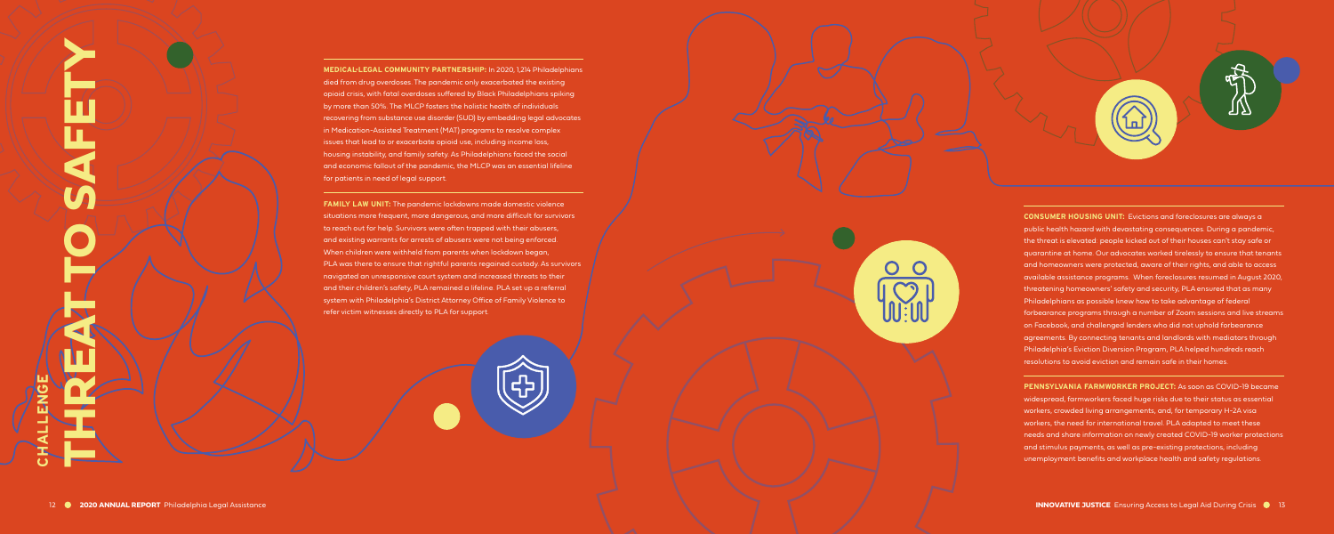**MEDICAL-LEGAL COMMUNITY PARTNERSHIP:** In 2020, 1,214 Philadelphians died from drug overdoses. The pandemic only exacerbated the existing opioid crisis, with fatal overdoses suffered by Black Philadelphians spiking by more than 50%. The MLCP fosters the holistic health of individuals recovering from substance use disorder (SUD) by embedding legal advocates in Medication-Assisted Treatment (MAT) programs to resolve complex issues that lead to or exacerbate opioid use, including income loss, housing instability, and family safety. As Philadelphians faced the social and economic fallout of the pandemic, the MLCP was an essential lifeline for patients in need of legal support.

**FAMILY LAW UNIT:** The pandemic lockdowns made domestic violence situations more frequent, more dangerous, and more difficult for survivors to reach out for help. Survivors were often trapped with their abusers, and existing warrants for arrests of abusers were not being enforced. When children were withheld from parents when lockdown began, PLA was there to ensure that rightful parents regained custody. As survivors navigated an unresponsive court system and increased threats to their and their children's safety, PLA remained a lifeline. PLA set up a referral system with Philadelphia's District Attorney Office of Family Violence to refer victim witnesses directly to PLA for support.

**CONSUMER HOUSING UNIT:** Evictions and foreclosures are always a public health hazard with devastating consequences. During a pandemic, the threat is elevated: people kicked out of their houses can't stay safe or quarantine at home. Our advocates worked tirelessly to ensure that tenants and homeowners were protected, aware of their rights, and able to access available assistance programs. When foreclosures resumed in August 2020, threatening homeowners' safety and security, PLA ensured that as many Philadelphians as possible knew how to take advantage of federal forbearance programs through a number of Zoom sessions and live streams on Facebook, and challenged lenders who did not uphold forbearance agreements. By connecting tenants and landlords with mediators through Philadelphia's Eviction Diversion Program, PLA helped hundreds reach resolutions to avoid eviction and remain safe in their homes.

**PENNSYLVANIA FARMWORKER PROJECT:** As soon as COVID-19 became widespread, farmworkers faced huge risks due to their status as essential workers, crowded living arrangements, and, for temporary H-2A visa workers, the need for international travel. PLA adapted to meet these needs and share information on newly created COVID-19 worker protections and stimulus payments, as well as pre-existing protections, including unemployment benefits and workplace health and safety regulations.

**CHALLENGE** 

**THREAT TO SAFETY**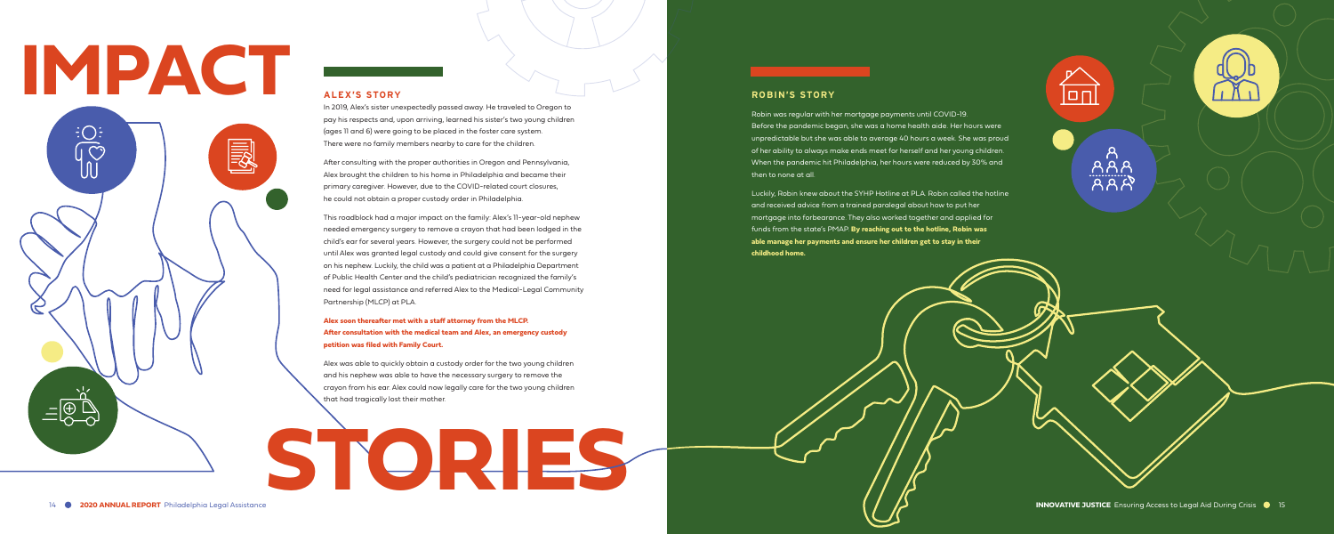## **ALEX'S STORY**

In 2019, Alex's sister unexpectedly passed away. He traveled to Oregon to pay his respects and, upon arriving, learned his sister's two young children (ages 11 and 6) were going to be placed in the foster care system. There were no family members nearby to care for the children.

After consulting with the proper authorities in Oregon and Pennsylvania, Alex brought the children to his home in Philadelphia and became their primary caregiver. However, due to the COVID-related court closures, he could not obtain a proper custody order in Philadelphia.

This roadblock had a major impact on the family: Alex's 11-year-old nephew needed emergency surgery to remove a crayon that had been lodged in the child's ear for several years. However, the surgery could not be performed until Alex was granted legal custody and could give consent for the surgery on his nephew. Luckily, the child was a patient at a Philadelphia Department of Public Health Center and the child's pediatrician recognized the family's need for legal assistance and referred Alex to the Medical-Legal Community Partnership (MLCP) at PLA.

## **Alex soon thereafter met with a staff attorney from the MLCP. After consultation with the medical team and Alex, an emergency custody petition was filed with Family Court.**

Alex was able to quickly obtain a custody order for the two young children and his nephew was able to have the necessary surgery to remove the crayon from his ear. Alex could now legally care for the two young children that had tragically lost their mother.

## **ROBIN'S STORY**

Robin was regular with her mortgage payments until COVID-19. Before the pandemic began, she was a home health aide. Her hours were unpredictable but she was able to average 40 hours a week. She was proud of her ability to always make ends meet for herself and her young children. When the pandemic hit Philadelphia, her hours were reduced by 30% and then to none at all.

Luckily, Robin knew about the SYHP Hotline at PLA. Robin called the hotline and received advice from a trained paralegal about how to put her mortgage into forbearance. They also worked together and applied for funds from the state's PMAP. **By reaching out to the hotline, Robin was able manage her payments and ensure her children get to stay in their** 

 $\overleftrightarrow{\Box\Box}$ 

**childhood home.** 

# **IMPACT**  $\overline{\bigodot^{\vdots}_{\mathbb{C}}}$ 國 **STORIES**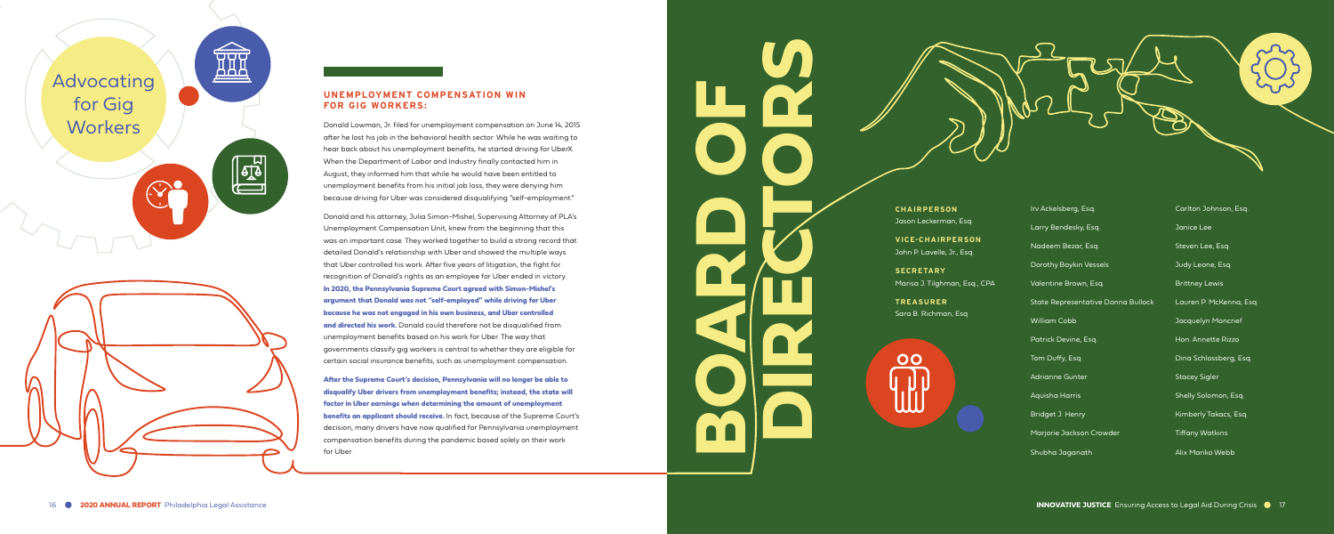



## **UNEMPLOYMENT COMPENSATION WIN FOR GIG WORKERS:**

Donald Lowman, Jr. filed for unemployment compensation on June 14, 2015 after he lost his job in the behavioral health sector. While he was waiting to hear back about his unemployment benefits, he started driving for UberX. When the Department of Labor and Industry finally contacted him in August, they informed him that while he would have been entitled to unemployment benefits from his initial job loss, they were denying him because driving for Uber was considered disqualifying "self-employment."

Donald and his attorney, Julia Simon-Mishel, Supervising Attorney of PLA's Unemployment Compensation Unit, knew from the beginning that this was an important case. They worked together to build a strong record that detailed Donald's relationship with Uber and showed the multiple ways that Uber controlled his work. After five years of litigation, the fight for recognition of Donald's rights as an employee for Uber ended in victory. **In 2020, the Pennsylvania Supreme Court agreed with Simon-Mishel's argument that Donald was not "self-employed" while driving for Uber because he was not engaged in his own business, and Uber controlled and directed his work.** Donald could therefore not be disqualified from unemployment benefits based on his work for Uber. The way that governments classify gig workers is central to whether they are eligible for certain social insurance benefits, such as unemployment compensation.

**After the Supreme Court's decision, Pennsylvania will no longer be able to disqualify Uber drivers from unemployment benefits; instead, the state will factor in Uber earnings when determining the amount of unemployment benefits an applicant should receive.** In fact, because of the Supreme Court's decision, many drivers have now qualified for Pennsylvania unemployment compensation benefits during the pandemic based solely on their work for Uber.

**CHAIRPERSON** Jason Leckerman, Esq.

**VICE-CHAIRPERSON** John P. Lavelle, Jr., Esq.

**SECRETARY** Marisa J. Tilghman, Esq., CPA

**TREASURER** Sara B. Richman, Esq







Irv Ackelsberg, Esq.

Larry Bendesky, Esq.

Nadeem Bezar, Esq.

Dorothy Boykin Vessels

Valentine Brown, Esq.

State Representative Donna Bullock

William Cobb

Patrick Devine, Esq.

Tom Duffy, Esq.

Adrianne Gunter

Aquisha Harris

Bridget J. Henry

Marjorie Jackson Crowder

Shubha Jaganath

Carlton Johnson, Esq.

Janice Lee

Steven Lee, Esq.

Judy Leone, Esq.

Brittney Lewis

Lauren P. McKenna, Esq.

Jacquelyn Moncrief

Hon. Annette Rizzo

Dina Schlossberg, Esq.

Stacey Sigler

Shelly Solomon, Esq.

Kimberly Takacs, Esq.

Tiffany Watkins

Alix Mariko Webb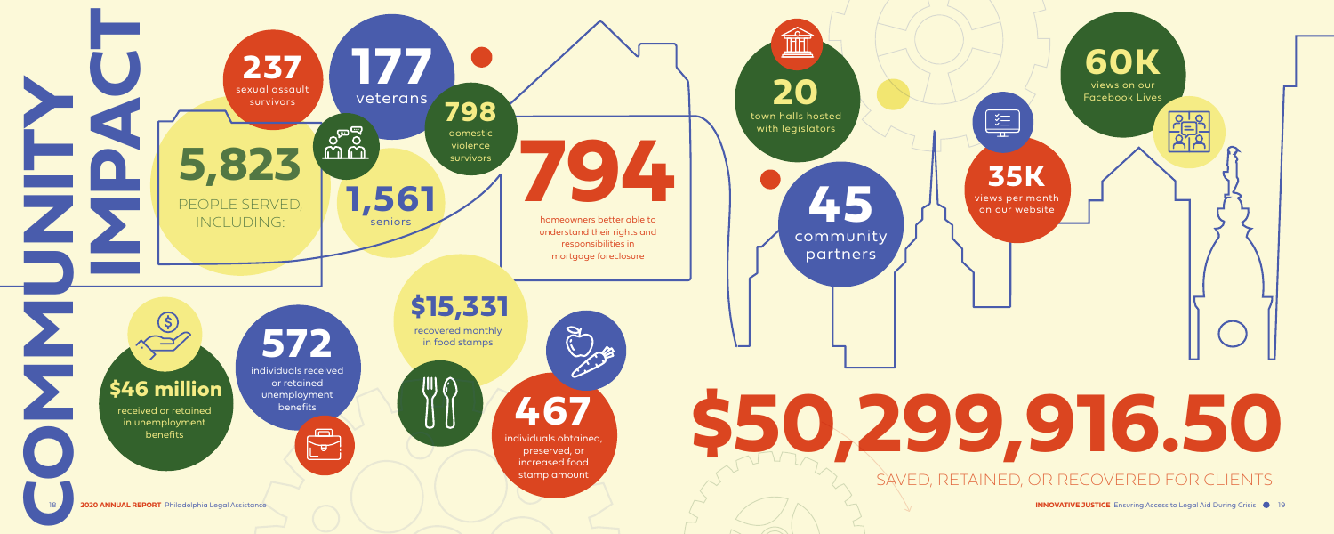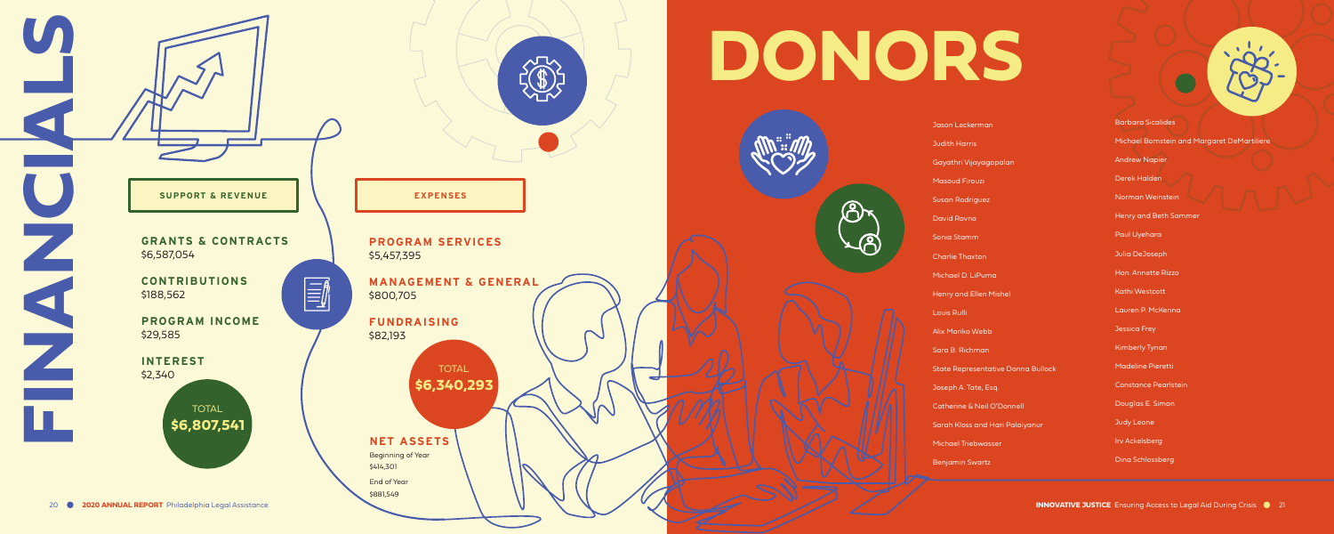# **DONORS**



Jason Leckerman Judith Harris Gayathri Vijayagopalan Masoud Firouzi Susan Rodriguez David Rovno Sonia Stamm Charlie Thaxton Michael D. LiPuma Henry and Ellen Mishel Louis Rulli Alix Mariko Webb Sara B. Richman State Representative Donna Bullock Joseph A. Tate, Esq. Catherine & Neil O'Donnell Sarah Kloss and Hari Palaiyanur Michael Triebwasser Benjamin Swartz

## Barbara Sicalides

Michael Bomstein and Margaret DeMartiliere

Andrew Napier



Derek Halden

Norman Weinstein

Henry and Beth Sommer

Paul Uyehara

Julia DeJoseph

Hon. Annette Rizzo

Kathi Westcott

Lauren P. McKenna

Jessica Frey

Kimberly Tynan

Madeline Pieretti

Constance Pearlstein

Douglas E. Simon

Judy Leone

Irv Ackelsberg

Dina Schlossberg